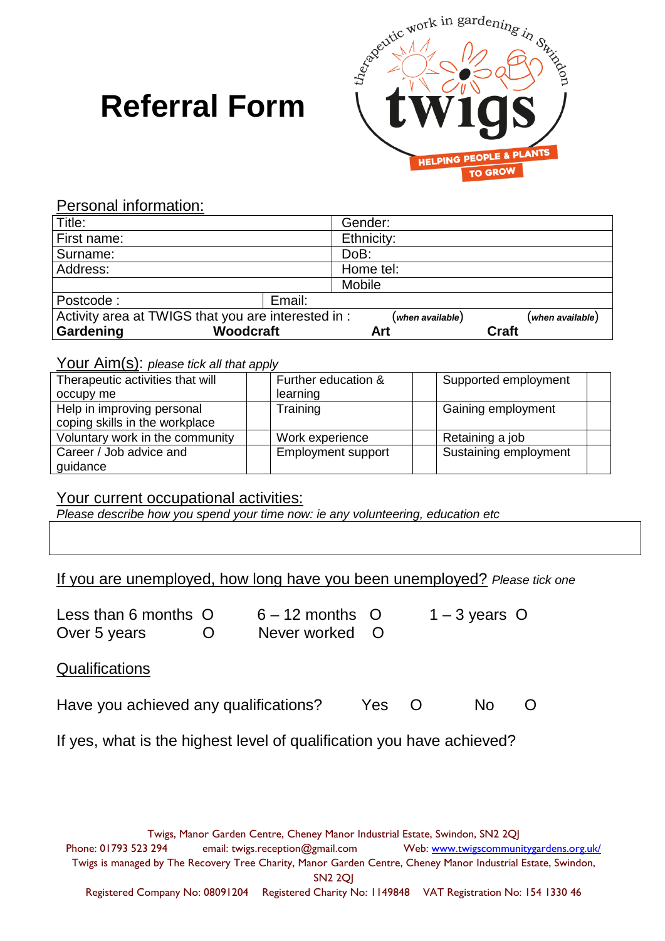# **Referral Form**



Personal information:

| Title:                                                                                     |                  | Gender:    |              |
|--------------------------------------------------------------------------------------------|------------------|------------|--------------|
| First name:                                                                                |                  | Ethnicity: |              |
| Surname:                                                                                   |                  | DoB:       |              |
| Address:                                                                                   |                  | Home tel:  |              |
|                                                                                            |                  | Mobile     |              |
| Postcode:                                                                                  | Email:           |            |              |
| Activity area at TWIGS that you are interested in :<br>(when available)<br>when available) |                  |            |              |
| Gardening                                                                                  | <b>Woodcraft</b> | Art        | <b>Craft</b> |

#### Your Aim(s): *please tick all that apply*

| Therapeutic activities that will | Further education &       | Supported employment  |
|----------------------------------|---------------------------|-----------------------|
| occupy me                        | learning                  |                       |
| Help in improving personal       | Training                  | Gaining employment    |
| coping skills in the workplace   |                           |                       |
| Voluntary work in the community  | Work experience           | Retaining a job       |
| Career / Job advice and          | <b>Employment support</b> | Sustaining employment |
| guidance                         |                           |                       |

#### Your current occupational activities:

*Please describe how you spend your time now: ie any volunteering, education etc*

If you are unemployed, how long have you been unemployed? *Please tick one*

| Less than 6 months O |   |
|----------------------|---|
| Over 5 years         | O |

 $6 - 12$  months O  $1 - 3$  years O Never worked O

#### **Qualifications**

| Have you achieved any qualifications? | Yes O |  | No O |  |
|---------------------------------------|-------|--|------|--|
|---------------------------------------|-------|--|------|--|

If yes, what is the highest level of qualification you have achieved?

Twigs, Manor Garden Centre, Cheney Manor Industrial Estate, Swindon, SN2 2QJ Phone: 01793 523 294 email: twigs.reception@gmail.com Web: [www.twigscommunitygardens.org.uk/](http://www.twigscommunitygardens.org.uk/) Twigs is managed by The Recovery Tree Charity, Manor Garden Centre, Cheney Manor Industrial Estate, Swindon, SN2 2QJ Registered Company No: 08091204 Registered Charity No: 1149848 VAT Registration No: 154 1330 46